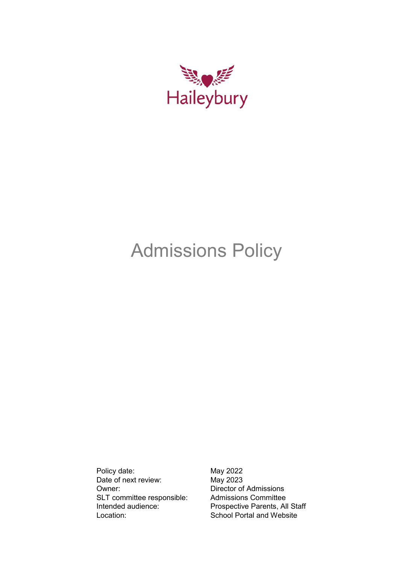

# Admissions Policy

Policy date: May 2022 Date of next review: May 2023<br>
Owner: Director of SLT committee responsible: Admissions Committee Location: School Portal and Website

Director of Admissions Intended audience: Prospective Parents, All Staff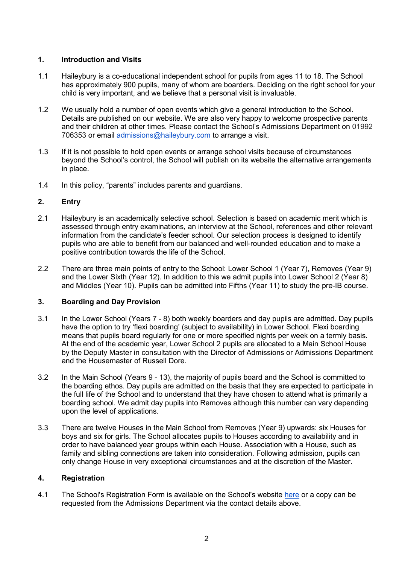## **1. Introduction and Visits**

- 1.1 Haileybury is a co-educational independent school for pupils from ages 11 to 18. The School has approximately 900 pupils, many of whom are boarders. Deciding on the right school for your child is very important, and we believe that a personal visit is invaluable.
- 1.2 We usually hold a number of open events which give a general introduction to the School. Details are published on our website. We are also very happy to welcome prospective parents and their children at other times. Please contact the School's Admissions Department on 01992 706353 or email [admissions@haileybury.com](mailto:admissions@haileybury.com) to arrange a visit.
- 1.3 If it is not possible to hold open events or arrange school visits because of circumstances beyond the School's control, the School will publish on its website the alternative arrangements in place.
- 1.4 In this policy, "parents" includes parents and guardians.

## **2. Entry**

- 2.1 Haileybury is an academically selective school. Selection is based on academic merit which is assessed through entry examinations, an interview at the School, references and other relevant information from the candidate's feeder school. Our selection process is designed to identify pupils who are able to benefit from our balanced and well-rounded education and to make a positive contribution towards the life of the School.
- 2.2 There are three main points of entry to the School: Lower School 1 (Year 7), Removes (Year 9) and the Lower Sixth (Year 12). In addition to this we admit pupils into Lower School 2 (Year 8) and Middles (Year 10). Pupils can be admitted into Fifths (Year 11) to study the pre-IB course.

# **3. Boarding and Day Provision**

- 3.1 In the Lower School (Years 7 8) both weekly boarders and day pupils are admitted. Day pupils have the option to try 'flexi boarding' (subject to availability) in Lower School. Flexi boarding means that pupils board regularly for one or more specified nights per week on a termly basis. At the end of the academic year, Lower School 2 pupils are allocated to a Main School House by the Deputy Master in consultation with the Director of Admissions or Admissions Department and the Housemaster of Russell Dore.
- 3.2 In the Main School (Years 9 13), the majority of pupils board and the School is committed to the boarding ethos. Day pupils are admitted on the basis that they are expected to participate in the full life of the School and to understand that they have chosen to attend what is primarily a boarding school. We admit day pupils into Removes although this number can vary depending upon the level of applications.
- 3.3 There are twelve Houses in the Main School from Removes (Year 9) upwards: six Houses for boys and six for girls. The School allocates pupils to Houses according to availability and in order to have balanced year groups within each House. Association with a House, such as family and sibling connections are taken into consideration. Following admission, pupils can only change House in very exceptional circumstances and at the discretion of the Master.

## **4. Registration**

4.1 The School's Registration Form is available on the School's website [here](https://www.haileybury.com/admissions/registration-form/) or a copy can be requested from the Admissions Department via the contact details above.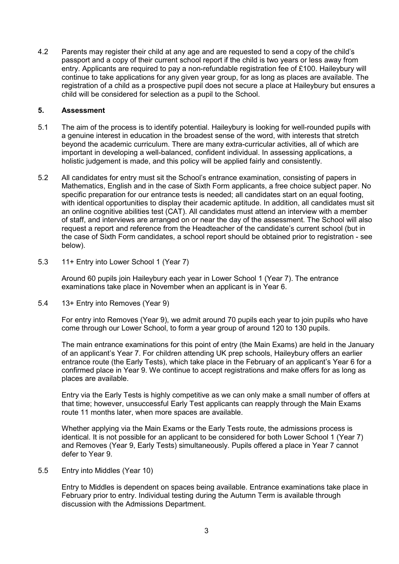4.2 Parents may register their child at any age and are requested to send a copy of the child's passport and a copy of their current school report if the child is two years or less away from entry. Applicants are required to pay a non-refundable registration fee of £100. Haileybury will continue to take applications for any given year group, for as long as places are available. The registration of a child as a prospective pupil does not secure a place at Haileybury but ensures a child will be considered for selection as a pupil to the School.

## **5. Assessment**

- 5.1 The aim of the process is to identify potential. Haileybury is looking for well-rounded pupils with a genuine interest in education in the broadest sense of the word, with interests that stretch beyond the academic curriculum. There are many extra-curricular activities, all of which are important in developing a well-balanced, confident individual. In assessing applications, a holistic judgement is made, and this policy will be applied fairly and consistently.
- 5.2 All candidates for entry must sit the School's entrance examination, consisting of papers in Mathematics, English and in the case of Sixth Form applicants, a free choice subject paper. No specific preparation for our entrance tests is needed; all candidates start on an equal footing, with identical opportunities to display their academic aptitude. In addition, all candidates must sit an online cognitive abilities test (CAT). All candidates must attend an interview with a member of staff, and interviews are arranged on or near the day of the assessment. The School will also request a report and reference from the Headteacher of the candidate's current school (but in the case of Sixth Form candidates, a school report should be obtained prior to registration - see below).
- 5.3 11+ Entry into Lower School 1 (Year 7)

Around 60 pupils join Haileybury each year in Lower School 1 (Year 7). The entrance examinations take place in November when an applicant is in Year 6.

5.4 13+ Entry into Removes (Year 9)

For entry into Removes (Year 9), we admit around 70 pupils each year to join pupils who have come through our Lower School, to form a year group of around 120 to 130 pupils.

The main entrance examinations for this point of entry (the Main Exams) are held in the January of an applicant's Year 7. For children attending UK prep schools, Haileybury offers an earlier entrance route (the Early Tests), which take place in the February of an applicant's Year 6 for a confirmed place in Year 9. We continue to accept registrations and make offers for as long as places are available.

Entry via the Early Tests is highly competitive as we can only make a small number of offers at that time; however, unsuccessful Early Test applicants can reapply through the Main Exams route 11 months later, when more spaces are available.

Whether applying via the Main Exams or the Early Tests route, the admissions process is identical. It is not possible for an applicant to be considered for both Lower School 1 (Year 7) and Removes (Year 9, Early Tests) simultaneously. Pupils offered a place in Year 7 cannot defer to Year 9.

5.5 Entry into Middles (Year 10)

Entry to Middles is dependent on spaces being available. Entrance examinations take place in February prior to entry. Individual testing during the Autumn Term is available through discussion with the Admissions Department.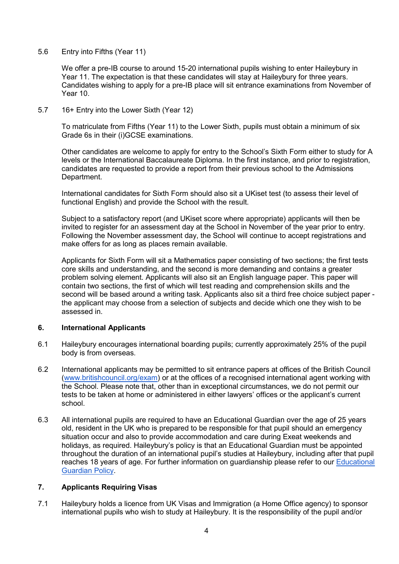5.6 Entry into Fifths (Year 11)

We offer a pre-IB course to around 15-20 international pupils wishing to enter Haileybury in Year 11. The expectation is that these candidates will stay at Haileybury for three years. Candidates wishing to apply for a pre-IB place will sit entrance examinations from November of Year 10.

5.7 16+ Entry into the Lower Sixth (Year 12)

To matriculate from Fifths (Year 11) to the Lower Sixth, pupils must obtain a minimum of six Grade 6s in their (i)GCSE examinations.

Other candidates are welcome to apply for entry to the School's Sixth Form either to study for A levels or the International Baccalaureate Diploma. In the first instance, and prior to registration, candidates are requested to provide a report from their previous school to the Admissions Department.

International candidates for Sixth Form should also sit a UKiset test (to assess their level of functional English) and provide the School with the result.

Subject to a satisfactory report (and UKiset score where appropriate) applicants will then be invited to register for an assessment day at the School in November of the year prior to entry. Following the November assessment day, the School will continue to accept registrations and make offers for as long as places remain available.

Applicants for Sixth Form will sit a Mathematics paper consisting of two sections; the first tests core skills and understanding, and the second is more demanding and contains a greater problem solving element. Applicants will also sit an English language paper. This paper will contain two sections, the first of which will test reading and comprehension skills and the second will be based around a writing task. Applicants also sit a third free choice subject paper the applicant may choose from a selection of subjects and decide which one they wish to be assessed in.

## **6. International Applicants**

- 6.1 Haileybury encourages international boarding pupils; currently approximately 25% of the pupil body is from overseas.
- 6.2 International applicants may be permitted to sit entrance papers at offices of the British Council [\(www.britishcouncil.org/exam\)](http://www.britishcouncil.org/exam) or at the offices of a recognised international agent working with the School. Please note that, other than in exceptional circumstances, we do not permit our tests to be taken at home or administered in either lawyers' offices or the applicant's current school.
- 6.3 All international pupils are required to have an Educational Guardian over the age of 25 years old, resident in the UK who is prepared to be responsible for that pupil should an emergency situation occur and also to provide accommodation and care during Exeat weekends and holidays, as required. Haileybury's policy is that an Educational Guardian must be appointed throughout the duration of an international pupil's studies at Haileybury, including after that pupil reaches 18 years of age. For further information on guardianship please refer to our [Educational](https://www.haileybury.com/content/uploads/2022/03/Educational-Guardian-Policy-March-2022-.pdf)  [Guardian Policy.](https://www.haileybury.com/content/uploads/2022/03/Educational-Guardian-Policy-March-2022-.pdf)

#### **7. Applicants Requiring Visas**

7.1 Haileybury holds a licence from UK Visas and Immigration (a Home Office agency) to sponsor international pupils who wish to study at Haileybury. It is the responsibility of the pupil and/or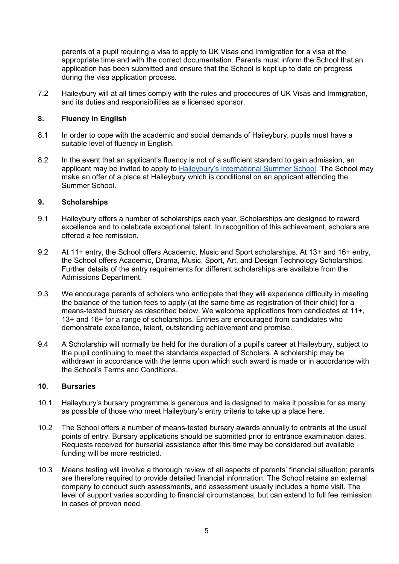parents of a pupil requiring a visa to apply to UK Visas and Immigration for a visa at the appropriate time and with the correct documentation. Parents must inform the School that an application has been submitted and ensure that the School is kept up to date on progress during the visa application process.

7.2 Haileybury will at all times comply with the rules and procedures of UK Visas and Immigration, and its duties and responsibilities as a licensed sponsor.

## **8. Fluency in English**

- 8.1 In order to cope with the academic and social demands of Haileybury, pupils must have a suitable level of fluency in English.
- 8.2 In the event that an applicant's fluency is not of a sufficient standard to gain admission, an applicant may be invited to apply to [Haileybury's International Summer School.](https://www.haileybury.com/internationalsummerschool/) The School may make an offer of a place at Haileybury which is conditional on an applicant attending the Summer School.

#### **9. Scholarships**

- 9.1 Haileybury offers a number of scholarships each year. Scholarships are designed to reward excellence and to celebrate exceptional talent. In recognition of this achievement, scholars are offered a fee remission.
- 9.2 At 11+ entry, the School offers Academic, Music and Sport scholarships. At 13+ and 16+ entry, the School offers Academic, Drama, Music, Sport, Art, and Design Technology Scholarships. Further details of the entry requirements for different scholarships are available from the Admissions Department.
- 9.3 We encourage parents of scholars who anticipate that they will experience difficulty in meeting the balance of the tuition fees to apply (at the same time as registration of their child) for a means-tested bursary as described below. We welcome applications from candidates at 11+, 13+ and 16+ for a range of scholarships. Entries are encouraged from candidates who demonstrate excellence, talent, outstanding achievement and promise.
- 9.4 A Scholarship will normally be held for the duration of a pupil's career at Haileybury, subject to the pupil continuing to meet the standards expected of Scholars. A scholarship may be withdrawn in accordance with the terms upon which such award is made or in accordance with the School's Terms and Conditions.

## **10. Bursaries**

- 10.1 Haileybury's bursary programme is generous and is designed to make it possible for as many as possible of those who meet Haileybury's entry criteria to take up a place here.
- 10.2 The School offers a number of means-tested bursary awards annually to entrants at the usual points of entry. Bursary applications should be submitted prior to entrance examination dates. Requests received for bursarial assistance after this time may be considered but available funding will be more restricted.
- 10.3 Means testing will involve a thorough review of all aspects of parents' financial situation; parents are therefore required to provide detailed financial information. The School retains an external company to conduct such assessments, and assessment usually includes a home visit. The level of support varies according to financial circumstances, but can extend to full fee remission in cases of proven need.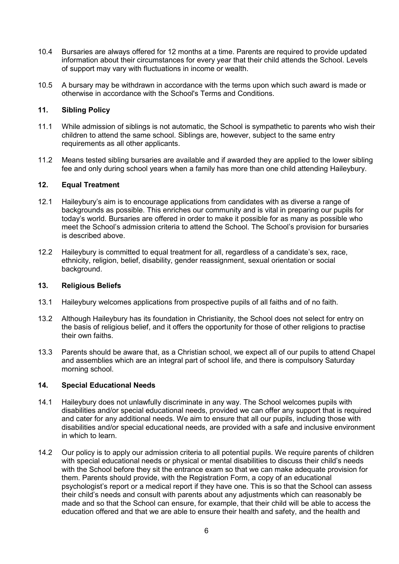- 10.4 Bursaries are always offered for 12 months at a time. Parents are required to provide updated information about their circumstances for every year that their child attends the School. Levels of support may vary with fluctuations in income or wealth.
- 10.5 A bursary may be withdrawn in accordance with the terms upon which such award is made or otherwise in accordance with the School's Terms and Conditions.

## **11. Sibling Policy**

- 11.1 While admission of siblings is not automatic, the School is sympathetic to parents who wish their children to attend the same school. Siblings are, however, subject to the same entry requirements as all other applicants.
- 11.2 Means tested sibling bursaries are available and if awarded they are applied to the lower sibling fee and only during school years when a family has more than one child attending Haileybury.

## **12. Equal Treatment**

- 12.1 Haileybury's aim is to encourage applications from candidates with as diverse a range of backgrounds as possible. This enriches our community and is vital in preparing our pupils for today's world. Bursaries are offered in order to make it possible for as many as possible who meet the School's admission criteria to attend the School. The School's provision for bursaries is described above.
- 12.2 Haileybury is committed to equal treatment for all, regardless of a candidate's sex, race, ethnicity, religion, belief, disability, gender reassignment, sexual orientation or social background.

#### **13. Religious Beliefs**

- 13.1 Haileybury welcomes applications from prospective pupils of all faiths and of no faith.
- 13.2 Although Haileybury has its foundation in Christianity, the School does not select for entry on the basis of religious belief, and it offers the opportunity for those of other religions to practise their own faiths.
- 13.3 Parents should be aware that, as a Christian school, we expect all of our pupils to attend Chapel and assemblies which are an integral part of school life, and there is compulsory Saturday morning school.

## **14. Special Educational Needs**

- 14.1 Haileybury does not unlawfully discriminate in any way. The School welcomes pupils with disabilities and/or special educational needs, provided we can offer any support that is required and cater for any additional needs. We aim to ensure that all our pupils, including those with disabilities and/or special educational needs, are provided with a safe and inclusive environment in which to learn.
- 14.2 Our policy is to apply our admission criteria to all potential pupils. We require parents of children with special educational needs or physical or mental disabilities to discuss their child's needs with the School before they sit the entrance exam so that we can make adequate provision for them. Parents should provide, with the Registration Form, a copy of an educational psychologist's report or a medical report if they have one. This is so that the School can assess their child's needs and consult with parents about any adjustments which can reasonably be made and so that the School can ensure, for example, that their child will be able to access the education offered and that we are able to ensure their health and safety, and the health and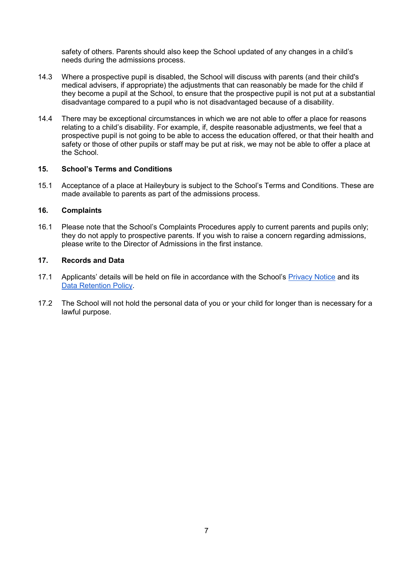safety of others. Parents should also keep the School updated of any changes in a child's needs during the admissions process.

- 14.3 Where a prospective pupil is disabled, the School will discuss with parents (and their child's medical advisers, if appropriate) the adjustments that can reasonably be made for the child if they become a pupil at the School, to ensure that the prospective pupil is not put at a substantial disadvantage compared to a pupil who is not disadvantaged because of a disability.
- 14.4 There may be exceptional circumstances in which we are not able to offer a place for reasons relating to a child's disability. For example, if, despite reasonable adjustments, we feel that a prospective pupil is not going to be able to access the education offered, or that their health and safety or those of other pupils or staff may be put at risk, we may not be able to offer a place at the School.

## **15. School's Terms and Conditions**

15.1 Acceptance of a place at Haileybury is subject to the School's Terms and Conditions. These are made available to parents as part of the admissions process.

## **16. Complaints**

16.1 Please note that the School's Complaints Procedures apply to current parents and pupils only; they do not apply to prospective parents. If you wish to raise a concern regarding admissions, please write to the Director of Admissions in the first instance.

#### **17. Records and Data**

- 17.1 Applicants' details will be held on file in accordance with the School's [Privacy Notice](https://www.haileybury.com/privacy-policy/) and its [Data Retention Policy.](https://www.haileybury.com/content/uploads/2022/05/Data-Retention-Policy-April-2022-.pdf)
- 17.2 The School will not hold the personal data of you or your child for longer than is necessary for a lawful purpose.